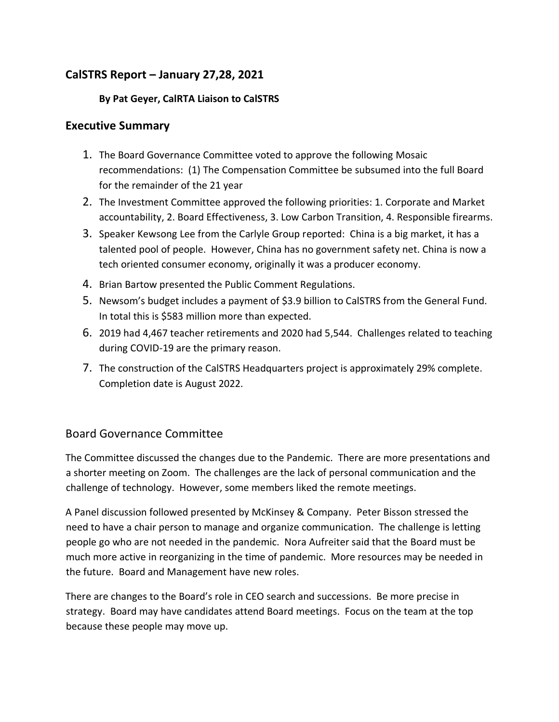## **CalSTRS Report – January 27,28, 2021**

#### **By Pat Geyer, CalRTA Liaison to CalSTRS**

#### **Executive Summary**

- 1. The Board Governance Committee voted to approve the following Mosaic recommendations: (1) The Compensation Committee be subsumed into the full Board for the remainder of the 21 year
- 2. The Investment Committee approved the following priorities: 1. Corporate and Market accountability, 2. Board Effectiveness, 3. Low Carbon Transition, 4. Responsible firearms.
- 3. Speaker Kewsong Lee from the Carlyle Group reported: China is a big market, it has a talented pool of people. However, China has no government safety net. China is now a tech oriented consumer economy, originally it was a producer economy.
- 4. Brian Bartow presented the Public Comment Regulations.
- 5. Newsom's budget includes a payment of \$3.9 billion to CalSTRS from the General Fund. In total this is \$583 million more than expected.
- 6. 2019 had 4,467 teacher retirements and 2020 had 5,544. Challenges related to teaching during COVID-19 are the primary reason.
- 7. The construction of the CalSTRS Headquarters project is approximately 29% complete. Completion date is August 2022.

#### Board Governance Committee

The Committee discussed the changes due to the Pandemic. There are more presentations and a shorter meeting on Zoom. The challenges are the lack of personal communication and the challenge of technology. However, some members liked the remote meetings.

A Panel discussion followed presented by McKinsey & Company. Peter Bisson stressed the need to have a chair person to manage and organize communication. The challenge is letting people go who are not needed in the pandemic. Nora Aufreiter said that the Board must be much more active in reorganizing in the time of pandemic. More resources may be needed in the future. Board and Management have new roles.

There are changes to the Board's role in CEO search and successions. Be more precise in strategy. Board may have candidates attend Board meetings. Focus on the team at the top because these people may move up.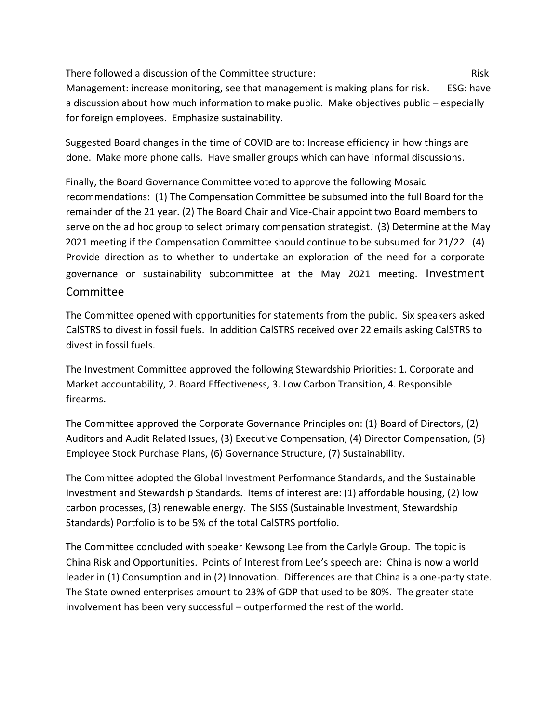There followed a discussion of the Committee structure: There is a manufacture of the Risk Management: increase monitoring, see that management is making plans for risk. ESG: have a discussion about how much information to make public. Make objectives public – especially for foreign employees. Emphasize sustainability.

Suggested Board changes in the time of COVID are to: Increase efficiency in how things are done. Make more phone calls. Have smaller groups which can have informal discussions.

Finally, the Board Governance Committee voted to approve the following Mosaic recommendations: (1) The Compensation Committee be subsumed into the full Board for the remainder of the 21 year. (2) The Board Chair and Vice-Chair appoint two Board members to serve on the ad hoc group to select primary compensation strategist. (3) Determine at the May 2021 meeting if the Compensation Committee should continue to be subsumed for 21/22. (4) Provide direction as to whether to undertake an exploration of the need for a corporate governance or sustainability subcommittee at the May 2021 meeting. Investment Committee

The Committee opened with opportunities for statements from the public. Six speakers asked CalSTRS to divest in fossil fuels. In addition CalSTRS received over 22 emails asking CalSTRS to divest in fossil fuels.

The Investment Committee approved the following Stewardship Priorities: 1. Corporate and Market accountability, 2. Board Effectiveness, 3. Low Carbon Transition, 4. Responsible firearms.

The Committee approved the Corporate Governance Principles on: (1) Board of Directors, (2) Auditors and Audit Related Issues, (3) Executive Compensation, (4) Director Compensation, (5) Employee Stock Purchase Plans, (6) Governance Structure, (7) Sustainability.

The Committee adopted the Global Investment Performance Standards, and the Sustainable Investment and Stewardship Standards. Items of interest are: (1) affordable housing, (2) low carbon processes, (3) renewable energy. The SISS (Sustainable Investment, Stewardship Standards) Portfolio is to be 5% of the total CalSTRS portfolio.

The Committee concluded with speaker Kewsong Lee from the Carlyle Group. The topic is China Risk and Opportunities. Points of Interest from Lee's speech are: China is now a world leader in (1) Consumption and in (2) Innovation. Differences are that China is a one-party state. The State owned enterprises amount to 23% of GDP that used to be 80%. The greater state involvement has been very successful – outperformed the rest of the world.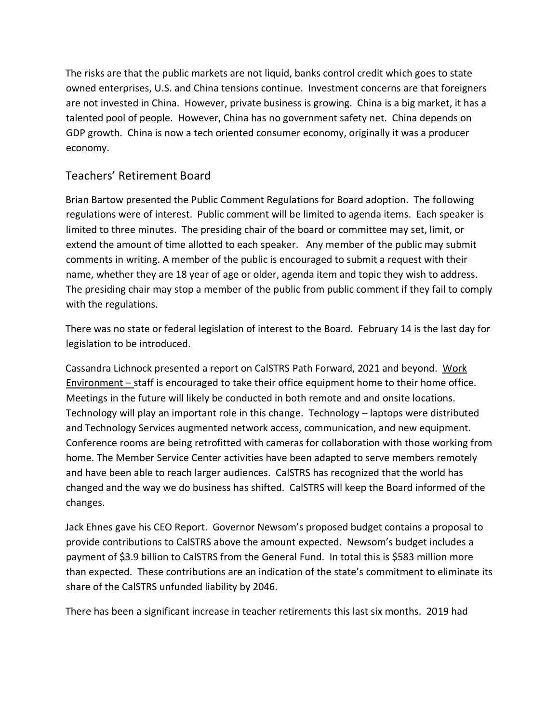The risks are that the public markets are not liquid, banks control credit which goes to state owned enterprises, U.S. and China tensions continue. Investment concerns are that foreigners are not invested in China. However, private business is growing. China is a big market, it has a talented pool of people. However, China has no government safety net. China depends on GDP growth. China is now a tech oriented consumer economy, originally it was a producer economy.

## Teachers' Retirement Board

Brian Bartow presented the Public Comment Regulations for Board adoption. The following regulations were of interest. Public comment will be limited to agenda items. Each speaker is limited to three minutes. The presiding chair of the board or committee may set, limit, or extend the amount of time allotted to each speaker. Any member of the public may submit comments in writing. A member of the public is encouraged to submit a request with their name, whether they are 18 year of age or older, agenda item and topic they wish to address. The presiding chair may stop a member of the public from public comment if they fail to comply with the regulations.

There was no state or federal legislation of interest to the Board. February 14 is the last day for legislation to be introduced.

Cassandra Lichnock presented a report on CalSTRS Path Forward, 2021 and beyond. Work Environment – staff is encouraged to take their office equipment home to their home office. Meetings in the future will likely be conducted in both remote and and onsite locations. Technology will play an important role in this change. Technology – laptops were distributed and Technology Services augmented network access, communication, and new equipment. Conference rooms are being retrofitted with cameras for collaboration with those working from home. The Member Service Center activities have been adapted to serve members remotely and have been able to reach larger audiences. CalSTRS has recognized that the world has changed and the way we do business has shifted. CalSTRS will keep the Board informed of the changes.

Jack Ehnes gave his CEO Report. Governor Newsom's proposed budget contains a proposal to provide contributions to CalSTRS above the amount expected. Newsom's budget includes a payment of \$3.9 billion to CalSTRS from the General Fund. In total this is \$583 million more than expected. These contributions are an indication of the state's commitment to eliminate its share of the CalSTRS unfunded liability by 2046.

There has been a significant increase in teacher retirements this last six months. 2019 had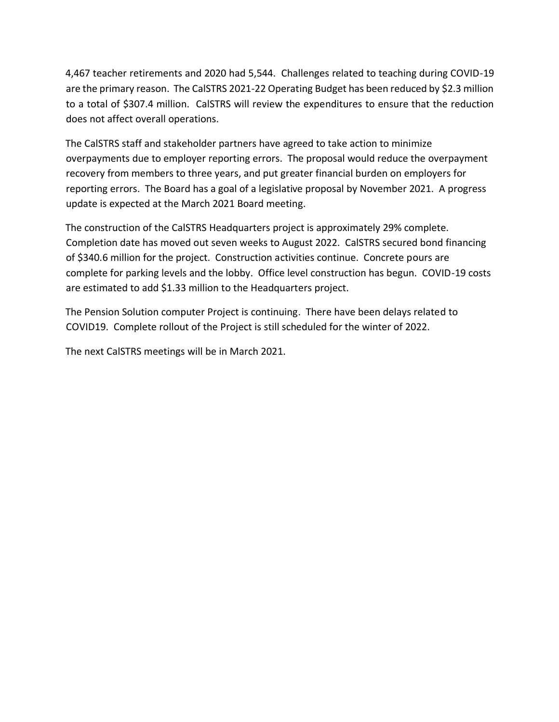4,467 teacher retirements and 2020 had 5,544. Challenges related to teaching during COVID-19 are the primary reason. The CalSTRS 2021-22 Operating Budget has been reduced by \$2.3 million to a total of \$307.4 million. CalSTRS will review the expenditures to ensure that the reduction does not affect overall operations.

The CalSTRS staff and stakeholder partners have agreed to take action to minimize overpayments due to employer reporting errors. The proposal would reduce the overpayment recovery from members to three years, and put greater financial burden on employers for reporting errors. The Board has a goal of a legislative proposal by November 2021. A progress update is expected at the March 2021 Board meeting.

The construction of the CalSTRS Headquarters project is approximately 29% complete. Completion date has moved out seven weeks to August 2022. CalSTRS secured bond financing of \$340.6 million for the project. Construction activities continue. Concrete pours are complete for parking levels and the lobby. Office level construction has begun. COVID-19 costs are estimated to add \$1.33 million to the Headquarters project.

The Pension Solution computer Project is continuing. There have been delays related to COVID19. Complete rollout of the Project is still scheduled for the winter of 2022.

The next CalSTRS meetings will be in March 2021.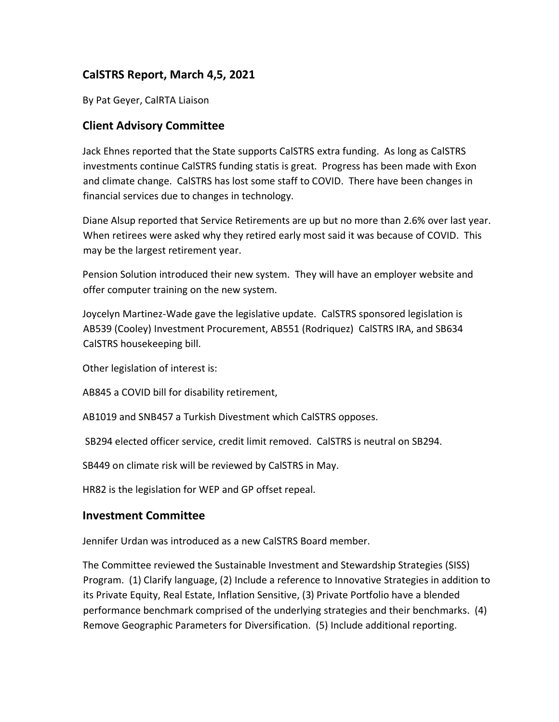## **CalSTRS Report, March 4,5, 2021**

By Pat Geyer, CalRTA Liaison

#### **Client Advisory Committee**

Jack Ehnes reported that the State supports CalSTRS extra funding. As long as CalSTRS investments continue CalSTRS funding statis is great. Progress has been made with Exon and climate change. CalSTRS has lost some staff to COVID. There have been changes in financial services due to changes in technology.

Diane Alsup reported that Service Retirements are up but no more than 2.6% over last year. When retirees were asked why they retired early most said it was because of COVID. This may be the largest retirement year.

Pension Solution introduced their new system. They will have an employer website and offer computer training on the new system.

Joycelyn Martinez-Wade gave the legislative update. CalSTRS sponsored legislation is AB539 (Cooley) Investment Procurement, AB551 (Rodriquez) CalSTRS IRA, and SB634 CalSTRS housekeeping bill.

Other legislation of interest is:

AB845 a COVID bill for disability retirement,

AB1019 and SNB457 a Turkish Divestment which CalSTRS opposes.

SB294 elected officer service, credit limit removed. CalSTRS is neutral on SB294.

SB449 on climate risk will be reviewed by CalSTRS in May.

HR82 is the legislation for WEP and GP offset repeal.

#### **Investment Committee**

Jennifer Urdan was introduced as a new CalSTRS Board member.

The Committee reviewed the Sustainable Investment and Stewardship Strategies (SISS) Program. (1) Clarify language, (2) Include a reference to Innovative Strategies in addition to its Private Equity, Real Estate, Inflation Sensitive, (3) Private Portfolio have a blended performance benchmark comprised of the underlying strategies and their benchmarks. (4) Remove Geographic Parameters for Diversification. (5) Include additional reporting.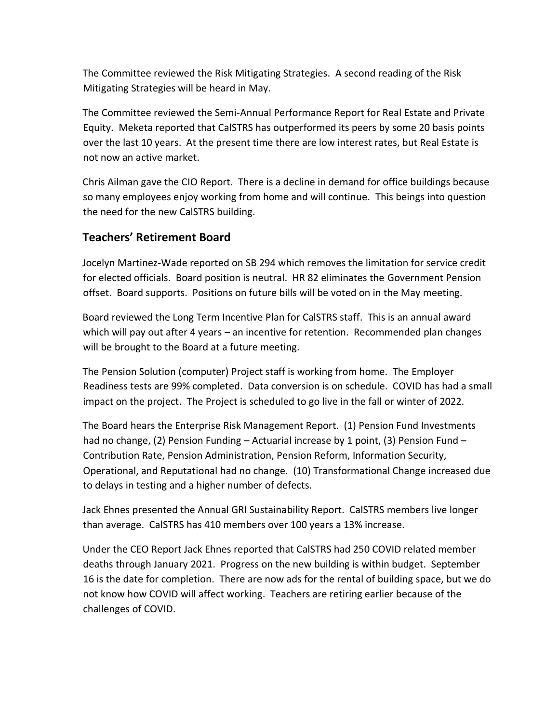The Committee reviewed the Risk Mitigating Strategies. A second reading of the Risk Mitigating Strategies will be heard in May.

The Committee reviewed the Semi-Annual Performance Report for Real Estate and Private Equity. Meketa reported that CalSTRS has outperformed its peers by some 20 basis points over the last 10 years. At the present time there are low interest rates, but Real Estate is not now an active market.

Chris Ailman gave the CIO Report. There is a decline in demand for office buildings because so many employees enjoy working from home and will continue. This beings into question the need for the new CalSTRS building.

## **Teachers' Retirement Board**

Jocelyn Martinez-Wade reported on SB 294 which removes the limitation for service credit for elected officials. Board position is neutral. HR 82 eliminates the Government Pension offset. Board supports. Positions on future bills will be voted on in the May meeting.

Board reviewed the Long Term Incentive Plan for CalSTRS staff. This is an annual award which will pay out after 4 years – an incentive for retention. Recommended plan changes will be brought to the Board at a future meeting.

The Pension Solution (computer) Project staff is working from home. The Employer Readiness tests are 99% completed. Data conversion is on schedule. COVID has had a small impact on the project. The Project is scheduled to go live in the fall or winter of 2022.

The Board hears the Enterprise Risk Management Report. (1) Pension Fund Investments had no change, (2) Pension Funding - Actuarial increase by 1 point, (3) Pension Fund -Contribution Rate, Pension Administration, Pension Reform, Information Security, Operational, and Reputational had no change. (10) Transformational Change increased due to delays in testing and a higher number of defects.

Jack Ehnes presented the Annual GRI Sustainability Report. CalSTRS members live longer than average. CalSTRS has 410 members over 100 years a 13% increase.

Under the CEO Report Jack Ehnes reported that CalSTRS had 250 COVID related member deaths through January 2021. Progress on the new building is within budget. September 16 is the date for completion. There are now ads for the rental of building space, but we do not know how COVID will affect working. Teachers are retiring earlier because of the challenges of COVID.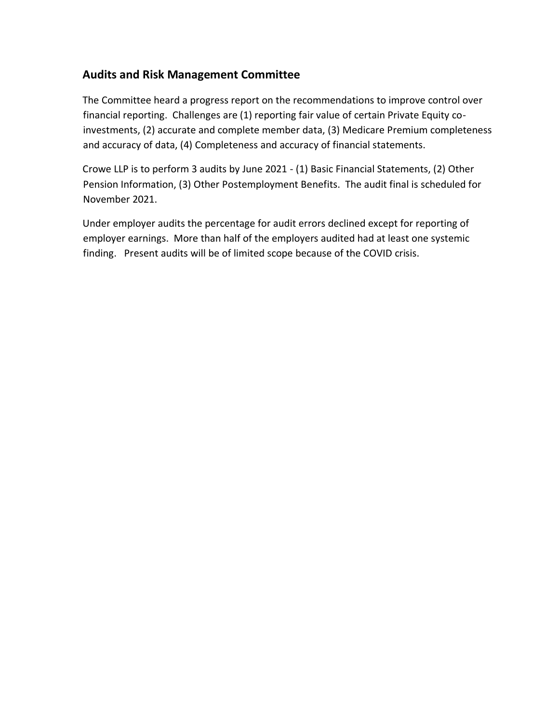## **Audits and Risk Management Committee**

The Committee heard a progress report on the recommendations to improve control over financial reporting. Challenges are (1) reporting fair value of certain Private Equity coinvestments, (2) accurate and complete member data, (3) Medicare Premium completeness and accuracy of data, (4) Completeness and accuracy of financial statements.

Crowe LLP is to perform 3 audits by June 2021 - (1) Basic Financial Statements, (2) Other Pension Information, (3) Other Postemployment Benefits. The audit final is scheduled for November 2021.

Under employer audits the percentage for audit errors declined except for reporting of employer earnings. More than half of the employers audited had at least one systemic finding. Present audits will be of limited scope because of the COVID crisis.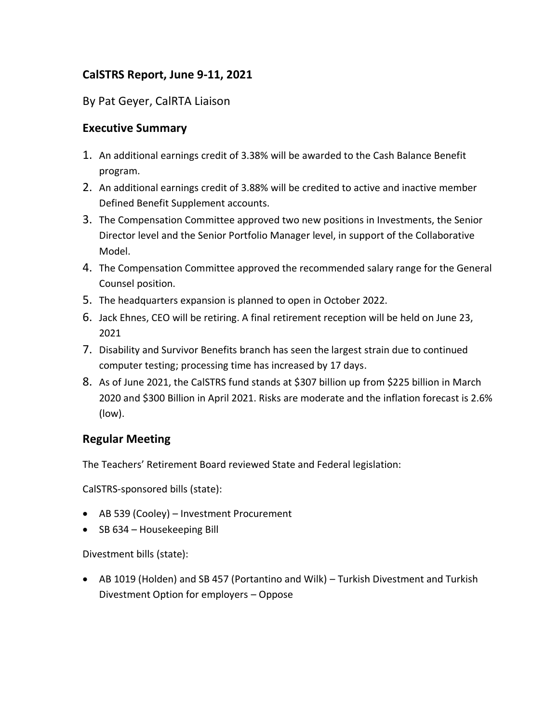## **CalSTRS Report, June 9-11, 2021**

#### By Pat Geyer, CalRTA Liaison

#### **Executive Summary**

- 1. An additional earnings credit of 3.38% will be awarded to the Cash Balance Benefit program.
- 2. An additional earnings credit of 3.88% will be credited to active and inactive member Defined Benefit Supplement accounts.
- 3. The Compensation Committee approved two new positions in Investments, the Senior Director level and the Senior Portfolio Manager level, in support of the Collaborative Model.
- 4. The Compensation Committee approved the recommended salary range for the General Counsel position.
- 5. The headquarters expansion is planned to open in October 2022.
- 6. Jack Ehnes, CEO will be retiring. A final retirement reception will be held on June 23, 2021
- 7. Disability and Survivor Benefits branch has seen the largest strain due to continued computer testing; processing time has increased by 17 days.
- 8. As of June 2021, the CalSTRS fund stands at \$307 billion up from \$225 billion in March 2020 and \$300 Billion in April 2021. Risks are moderate and the inflation forecast is 2.6% (low).

## **Regular Meeting**

The Teachers' Retirement Board reviewed State and Federal legislation:

CalSTRS-sponsored bills (state):

- AB 539 (Cooley) Investment Procurement
- SB 634 Housekeeping Bill

Divestment bills (state):

• AB 1019 (Holden) and SB 457 (Portantino and Wilk) – Turkish Divestment and Turkish Divestment Option for employers – Oppose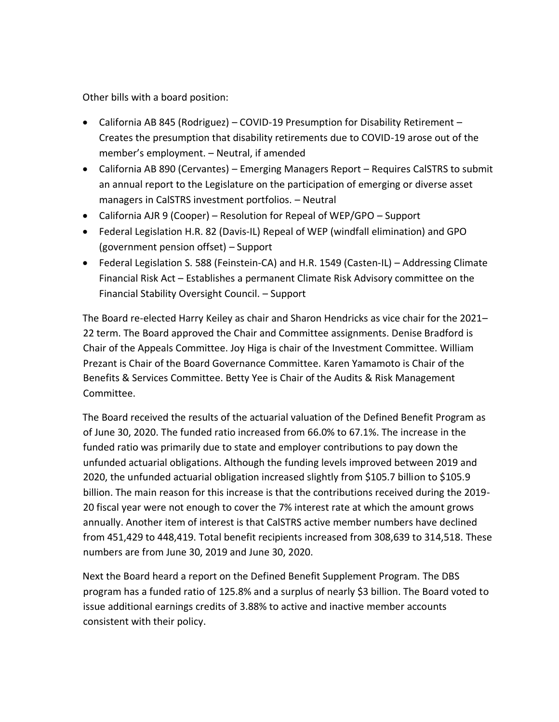Other bills with a board position:

- California AB 845 (Rodriguez) COVID-19 Presumption for Disability Retirement Creates the presumption that disability retirements due to COVID-19 arose out of the member's employment. – Neutral, if amended
- California AB 890 (Cervantes) Emerging Managers Report Requires CalSTRS to submit an annual report to the Legislature on the participation of emerging or diverse asset managers in CalSTRS investment portfolios. – Neutral
- California AJR 9 (Cooper) Resolution for Repeal of WEP/GPO Support
- Federal Legislation H.R. 82 (Davis-IL) Repeal of WEP (windfall elimination) and GPO (government pension offset) – Support
- Federal Legislation S. 588 (Feinstein-CA) and H.R. 1549 (Casten-IL) Addressing Climate Financial Risk Act – Establishes a permanent Climate Risk Advisory committee on the Financial Stability Oversight Council. – Support

The Board re-elected Harry Keiley as chair and Sharon Hendricks as vice chair for the 2021– 22 term. The Board approved the Chair and Committee assignments. Denise Bradford is Chair of the Appeals Committee. Joy Higa is chair of the Investment Committee. William Prezant is Chair of the Board Governance Committee. Karen Yamamoto is Chair of the Benefits & Services Committee. Betty Yee is Chair of the Audits & Risk Management Committee.

The Board received the results of the actuarial valuation of the Defined Benefit Program as of June 30, 2020. The funded ratio increased from 66.0% to 67.1%. The increase in the funded ratio was primarily due to state and employer contributions to pay down the unfunded actuarial obligations. Although the funding levels improved between 2019 and 2020, the unfunded actuarial obligation increased slightly from \$105.7 billion to \$105.9 billion. The main reason for this increase is that the contributions received during the 2019- 20 fiscal year were not enough to cover the 7% interest rate at which the amount grows annually. Another item of interest is that CalSTRS active member numbers have declined from 451,429 to 448,419. Total benefit recipients increased from 308,639 to 314,518. These numbers are from June 30, 2019 and June 30, 2020.

Next the Board heard a report on the Defined Benefit Supplement Program. The DBS program has a funded ratio of 125.8% and a surplus of nearly \$3 billion. The Board voted to issue additional earnings credits of 3.88% to active and inactive member accounts consistent with their policy.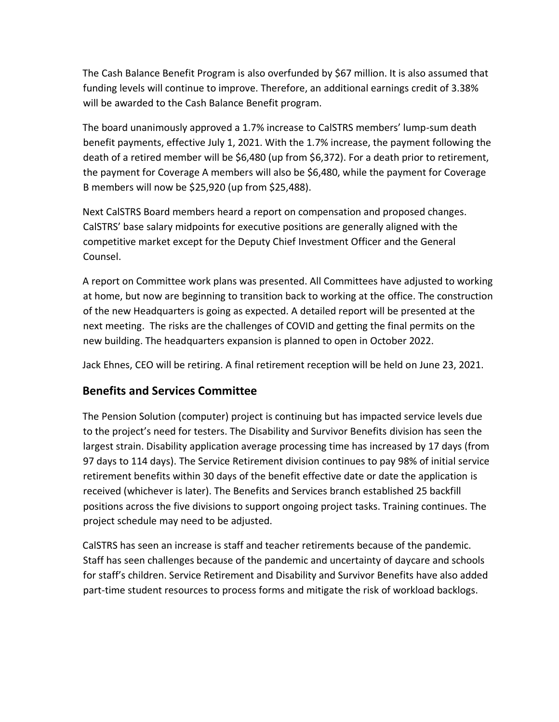The Cash Balance Benefit Program is also overfunded by \$67 million. It is also assumed that funding levels will continue to improve. Therefore, an additional earnings credit of 3.38% will be awarded to the Cash Balance Benefit program.

The board unanimously approved a 1.7% increase to CalSTRS members' lump-sum death benefit payments, effective July 1, 2021. With the 1.7% increase, the payment following the death of a retired member will be \$6,480 (up from \$6,372). For a death prior to retirement, the payment for Coverage A members will also be \$6,480, while the payment for Coverage B members will now be \$25,920 (up from \$25,488).

Next CalSTRS Board members heard a report on compensation and proposed changes. CalSTRS' base salary midpoints for executive positions are generally aligned with the competitive market except for the Deputy Chief Investment Officer and the General Counsel.

A report on Committee work plans was presented. All Committees have adjusted to working at home, but now are beginning to transition back to working at the office. The construction of the new Headquarters is going as expected. A detailed report will be presented at the next meeting. The risks are the challenges of COVID and getting the final permits on the new building. The headquarters expansion is planned to open in October 2022.

Jack Ehnes, CEO will be retiring. A final retirement reception will be held on June 23, 2021.

## **Benefits and Services Committee**

The Pension Solution (computer) project is continuing but has impacted service levels due to the project's need for testers. The Disability and Survivor Benefits division has seen the largest strain. Disability application average processing time has increased by 17 days (from 97 days to 114 days). The Service Retirement division continues to pay 98% of initial service retirement benefits within 30 days of the benefit effective date or date the application is received (whichever is later). The Benefits and Services branch established 25 backfill positions across the five divisions to support ongoing project tasks. Training continues. The project schedule may need to be adjusted.

CalSTRS has seen an increase is staff and teacher retirements because of the pandemic. Staff has seen challenges because of the pandemic and uncertainty of daycare and schools for staff's children. Service Retirement and Disability and Survivor Benefits have also added part-time student resources to process forms and mitigate the risk of workload backlogs.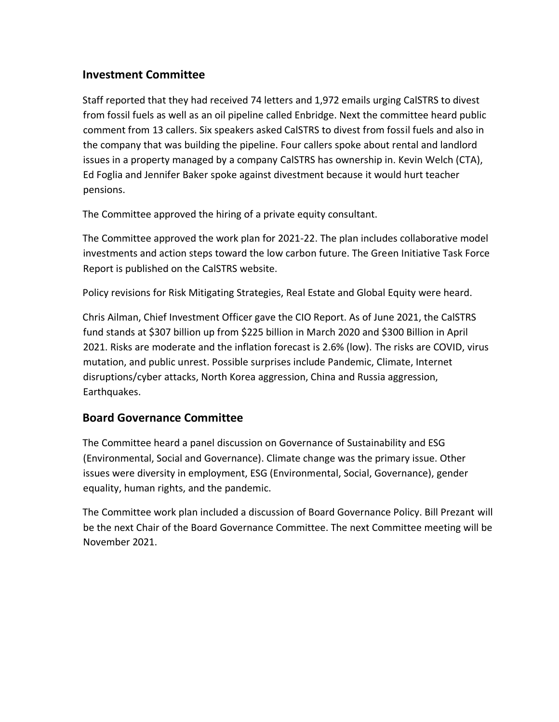### **Investment Committee**

Staff reported that they had received 74 letters and 1,972 emails urging CalSTRS to divest from fossil fuels as well as an oil pipeline called Enbridge. Next the committee heard public comment from 13 callers. Six speakers asked CalSTRS to divest from fossil fuels and also in the company that was building the pipeline. Four callers spoke about rental and landlord issues in a property managed by a company CalSTRS has ownership in. Kevin Welch (CTA), Ed Foglia and Jennifer Baker spoke against divestment because it would hurt teacher pensions.

The Committee approved the hiring of a private equity consultant.

The Committee approved the work plan for 2021-22. The plan includes collaborative model investments and action steps toward the low carbon future. The Green Initiative Task Force Report is published on the CalSTRS website.

Policy revisions for Risk Mitigating Strategies, Real Estate and Global Equity were heard.

Chris Ailman, Chief Investment Officer gave the CIO Report. As of June 2021, the CalSTRS fund stands at \$307 billion up from \$225 billion in March 2020 and \$300 Billion in April 2021. Risks are moderate and the inflation forecast is 2.6% (low). The risks are COVID, virus mutation, and public unrest. Possible surprises include Pandemic, Climate, Internet disruptions/cyber attacks, North Korea aggression, China and Russia aggression, Earthquakes.

## **Board Governance Committee**

The Committee heard a panel discussion on Governance of Sustainability and ESG (Environmental, Social and Governance). Climate change was the primary issue. Other issues were diversity in employment, ESG (Environmental, Social, Governance), gender equality, human rights, and the pandemic.

The Committee work plan included a discussion of Board Governance Policy. Bill Prezant will be the next Chair of the Board Governance Committee. The next Committee meeting will be November 2021.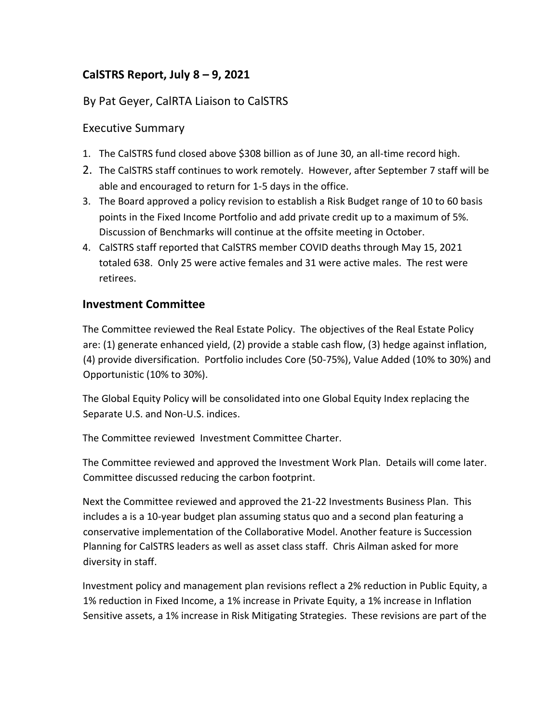# **CalSTRS Report, July 8 – 9, 2021**

## By Pat Geyer, CalRTA Liaison to CalSTRS

#### Executive Summary

- 1. The CalSTRS fund closed above \$308 billion as of June 30, an all-time record high.
- 2. The CalSTRS staff continues to work remotely. However, after September 7 staff will be able and encouraged to return for 1-5 days in the office.
- 3. The Board approved a policy revision to establish a Risk Budget range of 10 to 60 basis points in the Fixed Income Portfolio and add private credit up to a maximum of 5%. Discussion of Benchmarks will continue at the offsite meeting in October.
- 4. CalSTRS staff reported that CalSTRS member COVID deaths through May 15, 2021 totaled 638. Only 25 were active females and 31 were active males. The rest were retirees.

#### **Investment Committee**

The Committee reviewed the Real Estate Policy. The objectives of the Real Estate Policy are: (1) generate enhanced yield, (2) provide a stable cash flow, (3) hedge against inflation, (4) provide diversification. Portfolio includes Core (50-75%), Value Added (10% to 30%) and Opportunistic (10% to 30%).

The Global Equity Policy will be consolidated into one Global Equity Index replacing the Separate U.S. and Non-U.S. indices.

The Committee reviewed Investment Committee Charter.

The Committee reviewed and approved the Investment Work Plan. Details will come later. Committee discussed reducing the carbon footprint.

Next the Committee reviewed and approved the 21-22 Investments Business Plan. This includes a is a 10-year budget plan assuming status quo and a second plan featuring a conservative implementation of the Collaborative Model. Another feature is Succession Planning for CalSTRS leaders as well as asset class staff. Chris Ailman asked for more diversity in staff.

Investment policy and management plan revisions reflect a 2% reduction in Public Equity, a 1% reduction in Fixed Income, a 1% increase in Private Equity, a 1% increase in Inflation Sensitive assets, a 1% increase in Risk Mitigating Strategies. These revisions are part of the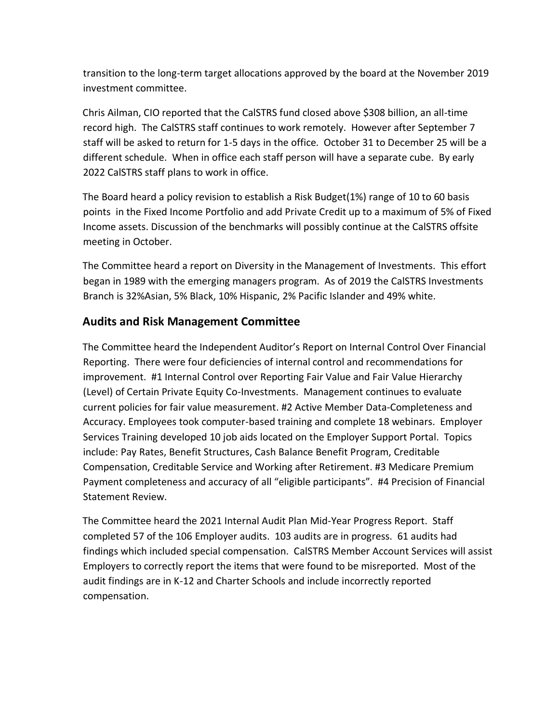transition to the long-term target allocations approved by the board at the November 2019 investment committee.

Chris Ailman, CIO reported that the CalSTRS fund closed above \$308 billion, an all-time record high. The CalSTRS staff continues to work remotely. However after September 7 staff will be asked to return for 1-5 days in the office. October 31 to December 25 will be a different schedule. When in office each staff person will have a separate cube. By early 2022 CalSTRS staff plans to work in office.

The Board heard a policy revision to establish a Risk Budget(1%) range of 10 to 60 basis points in the Fixed Income Portfolio and add Private Credit up to a maximum of 5% of Fixed Income assets. Discussion of the benchmarks will possibly continue at the CalSTRS offsite meeting in October.

The Committee heard a report on Diversity in the Management of Investments. This effort began in 1989 with the emerging managers program. As of 2019 the CalSTRS Investments Branch is 32%Asian, 5% Black, 10% Hispanic, 2% Pacific Islander and 49% white.

#### **Audits and Risk Management Committee**

The Committee heard the Independent Auditor's Report on Internal Control Over Financial Reporting. There were four deficiencies of internal control and recommendations for improvement. #1 Internal Control over Reporting Fair Value and Fair Value Hierarchy (Level) of Certain Private Equity Co-Investments. Management continues to evaluate current policies for fair value measurement. #2 Active Member Data-Completeness and Accuracy. Employees took computer-based training and complete 18 webinars. Employer Services Training developed 10 job aids located on the Employer Support Portal. Topics include: Pay Rates, Benefit Structures, Cash Balance Benefit Program, Creditable Compensation, Creditable Service and Working after Retirement. #3 Medicare Premium Payment completeness and accuracy of all "eligible participants". #4 Precision of Financial Statement Review.

The Committee heard the 2021 Internal Audit Plan Mid-Year Progress Report. Staff completed 57 of the 106 Employer audits. 103 audits are in progress. 61 audits had findings which included special compensation. CalSTRS Member Account Services will assist Employers to correctly report the items that were found to be misreported. Most of the audit findings are in K-12 and Charter Schools and include incorrectly reported compensation.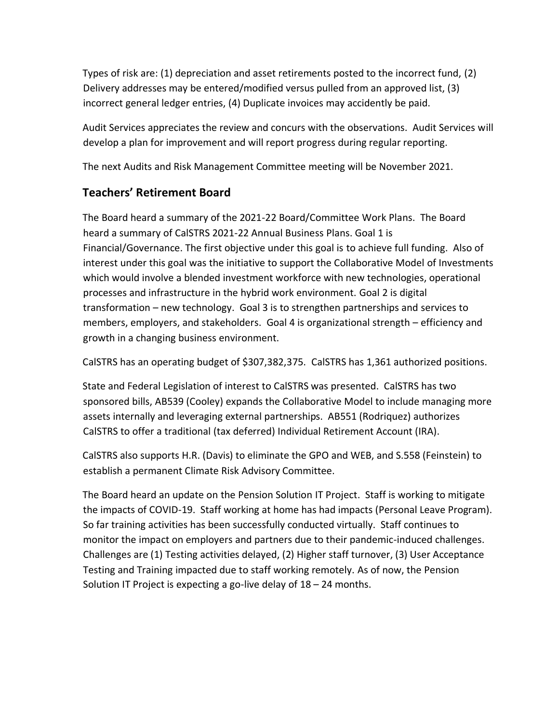Types of risk are: (1) depreciation and asset retirements posted to the incorrect fund, (2) Delivery addresses may be entered/modified versus pulled from an approved list, (3) incorrect general ledger entries, (4) Duplicate invoices may accidently be paid.

Audit Services appreciates the review and concurs with the observations. Audit Services will develop a plan for improvement and will report progress during regular reporting.

The next Audits and Risk Management Committee meeting will be November 2021.

# **Teachers' Retirement Board**

The Board heard a summary of the 2021-22 Board/Committee Work Plans. The Board heard a summary of CalSTRS 2021-22 Annual Business Plans. Goal 1 is Financial/Governance. The first objective under this goal is to achieve full funding. Also of interest under this goal was the initiative to support the Collaborative Model of Investments which would involve a blended investment workforce with new technologies, operational processes and infrastructure in the hybrid work environment. Goal 2 is digital transformation – new technology. Goal 3 is to strengthen partnerships and services to members, employers, and stakeholders. Goal 4 is organizational strength – efficiency and growth in a changing business environment.

CalSTRS has an operating budget of \$307,382,375. CalSTRS has 1,361 authorized positions.

State and Federal Legislation of interest to CalSTRS was presented. CalSTRS has two sponsored bills, AB539 (Cooley) expands the Collaborative Model to include managing more assets internally and leveraging external partnerships. AB551 (Rodriquez) authorizes CalSTRS to offer a traditional (tax deferred) Individual Retirement Account (IRA).

CalSTRS also supports H.R. (Davis) to eliminate the GPO and WEB, and S.558 (Feinstein) to establish a permanent Climate Risk Advisory Committee.

The Board heard an update on the Pension Solution IT Project. Staff is working to mitigate the impacts of COVID-19. Staff working at home has had impacts (Personal Leave Program). So far training activities has been successfully conducted virtually. Staff continues to monitor the impact on employers and partners due to their pandemic-induced challenges. Challenges are (1) Testing activities delayed, (2) Higher staff turnover, (3) User Acceptance Testing and Training impacted due to staff working remotely. As of now, the Pension Solution IT Project is expecting a go-live delay of 18 – 24 months.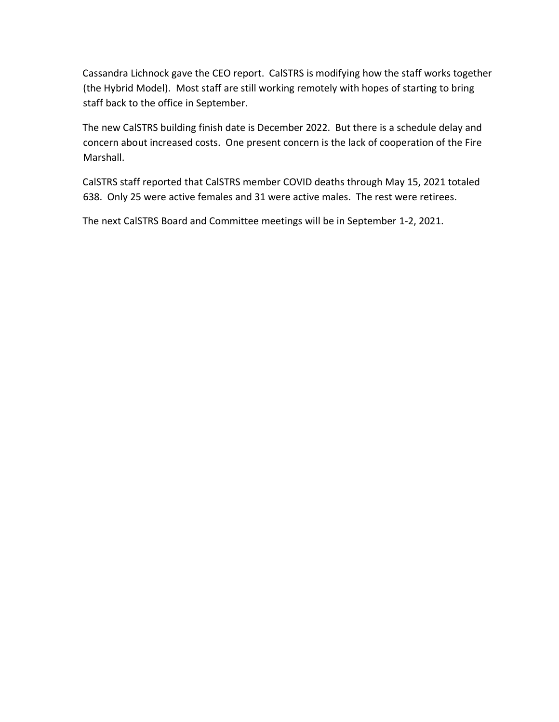Cassandra Lichnock gave the CEO report. CalSTRS is modifying how the staff works together (the Hybrid Model). Most staff are still working remotely with hopes of starting to bring staff back to the office in September.

The new CalSTRS building finish date is December 2022. But there is a schedule delay and concern about increased costs. One present concern is the lack of cooperation of the Fire Marshall.

CalSTRS staff reported that CalSTRS member COVID deaths through May 15, 2021 totaled 638. Only 25 were active females and 31 were active males. The rest were retirees.

The next CalSTRS Board and Committee meetings will be in September 1-2, 2021.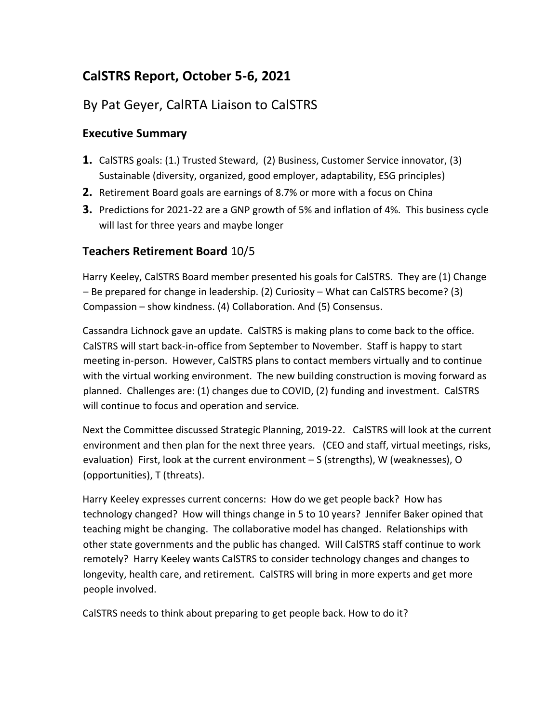# **CalSTRS Report, October 5-6, 2021**

# By Pat Geyer, CalRTA Liaison to CalSTRS

### **Executive Summary**

- **1.** CalSTRS goals: (1.) Trusted Steward, (2) Business, Customer Service innovator, (3) Sustainable (diversity, organized, good employer, adaptability, ESG principles)
- **2.** Retirement Board goals are earnings of 8.7% or more with a focus on China
- **3.** Predictions for 2021-22 are a GNP growth of 5% and inflation of 4%. This business cycle will last for three years and maybe longer

### **Teachers Retirement Board** 10/5

Harry Keeley, CalSTRS Board member presented his goals for CalSTRS. They are (1) Change – Be prepared for change in leadership. (2) Curiosity – What can CalSTRS become? (3) Compassion – show kindness. (4) Collaboration. And (5) Consensus.

Cassandra Lichnock gave an update. CalSTRS is making plans to come back to the office. CalSTRS will start back-in-office from September to November. Staff is happy to start meeting in-person. However, CalSTRS plans to contact members virtually and to continue with the virtual working environment. The new building construction is moving forward as planned. Challenges are: (1) changes due to COVID, (2) funding and investment. CalSTRS will continue to focus and operation and service.

Next the Committee discussed Strategic Planning, 2019-22. CalSTRS will look at the current environment and then plan for the next three years. (CEO and staff, virtual meetings, risks, evaluation) First, look at the current environment – S (strengths), W (weaknesses), O (opportunities), T (threats).

Harry Keeley expresses current concerns: How do we get people back? How has technology changed? How will things change in 5 to 10 years? Jennifer Baker opined that teaching might be changing. The collaborative model has changed. Relationships with other state governments and the public has changed. Will CalSTRS staff continue to work remotely? Harry Keeley wants CalSTRS to consider technology changes and changes to longevity, health care, and retirement. CalSTRS will bring in more experts and get more people involved.

CalSTRS needs to think about preparing to get people back. How to do it?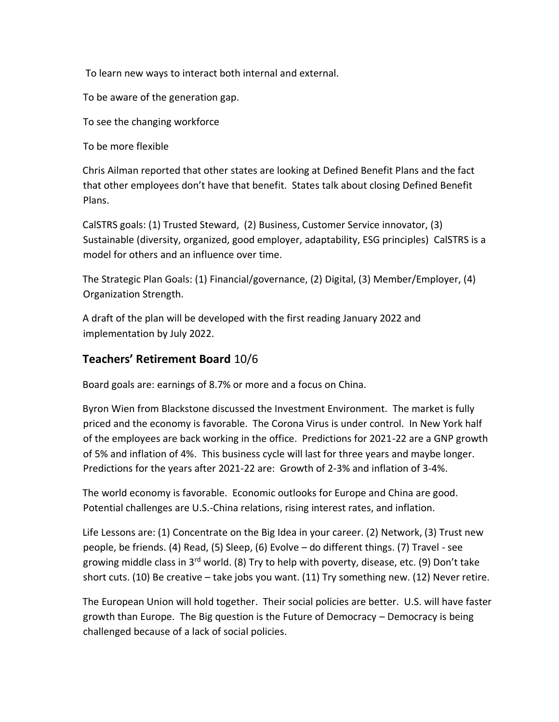To learn new ways to interact both internal and external.

To be aware of the generation gap.

To see the changing workforce

To be more flexible

Chris Ailman reported that other states are looking at Defined Benefit Plans and the fact that other employees don't have that benefit. States talk about closing Defined Benefit Plans.

CalSTRS goals: (1) Trusted Steward, (2) Business, Customer Service innovator, (3) Sustainable (diversity, organized, good employer, adaptability, ESG principles) CalSTRS is a model for others and an influence over time.

The Strategic Plan Goals: (1) Financial/governance, (2) Digital, (3) Member/Employer, (4) Organization Strength.

A draft of the plan will be developed with the first reading January 2022 and implementation by July 2022.

## **Teachers' Retirement Board** 10/6

Board goals are: earnings of 8.7% or more and a focus on China.

Byron Wien from Blackstone discussed the Investment Environment. The market is fully priced and the economy is favorable. The Corona Virus is under control. In New York half of the employees are back working in the office. Predictions for 2021-22 are a GNP growth of 5% and inflation of 4%. This business cycle will last for three years and maybe longer. Predictions for the years after 2021-22 are: Growth of 2-3% and inflation of 3-4%.

The world economy is favorable. Economic outlooks for Europe and China are good. Potential challenges are U.S.-China relations, rising interest rates, and inflation.

Life Lessons are: (1) Concentrate on the Big Idea in your career. (2) Network, (3) Trust new people, be friends. (4) Read, (5) Sleep, (6) Evolve – do different things. (7) Travel - see growing middle class in 3<sup>rd</sup> world. (8) Try to help with poverty, disease, etc. (9) Don't take short cuts. (10) Be creative – take jobs you want. (11) Try something new. (12) Never retire.

The European Union will hold together. Their social policies are better. U.S. will have faster growth than Europe. The Big question is the Future of Democracy – Democracy is being challenged because of a lack of social policies.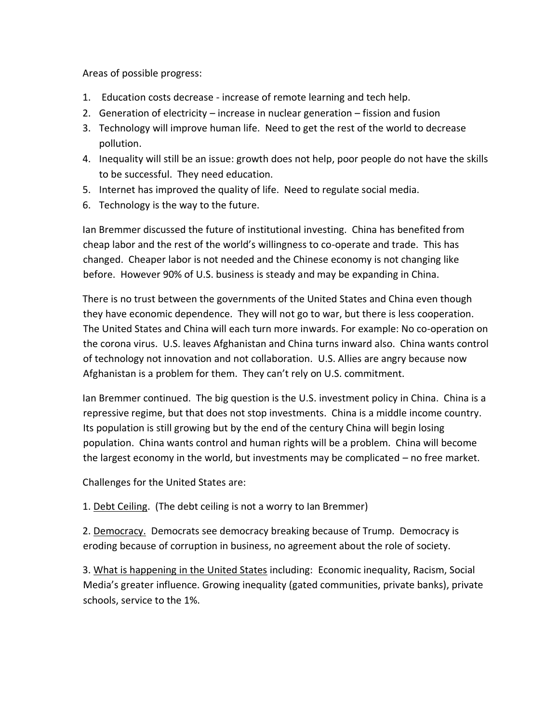Areas of possible progress:

- 1. Education costs decrease increase of remote learning and tech help.
- 2. Generation of electricity increase in nuclear generation fission and fusion
- 3. Technology will improve human life. Need to get the rest of the world to decrease pollution.
- 4. Inequality will still be an issue: growth does not help, poor people do not have the skills to be successful. They need education.
- 5. Internet has improved the quality of life. Need to regulate social media.
- 6. Technology is the way to the future.

Ian Bremmer discussed the future of institutional investing. China has benefited from cheap labor and the rest of the world's willingness to co-operate and trade. This has changed. Cheaper labor is not needed and the Chinese economy is not changing like before. However 90% of U.S. business is steady and may be expanding in China.

There is no trust between the governments of the United States and China even though they have economic dependence. They will not go to war, but there is less cooperation. The United States and China will each turn more inwards. For example: No co-operation on the corona virus. U.S. leaves Afghanistan and China turns inward also. China wants control of technology not innovation and not collaboration. U.S. Allies are angry because now Afghanistan is a problem for them. They can't rely on U.S. commitment.

Ian Bremmer continued. The big question is the U.S. investment policy in China. China is a repressive regime, but that does not stop investments. China is a middle income country. Its population is still growing but by the end of the century China will begin losing population. China wants control and human rights will be a problem. China will become the largest economy in the world, but investments may be complicated – no free market.

Challenges for the United States are:

1. Debt Ceiling. (The debt ceiling is not a worry to Ian Bremmer)

2. Democracy. Democrats see democracy breaking because of Trump. Democracy is eroding because of corruption in business, no agreement about the role of society.

3. What is happening in the United States including: Economic inequality, Racism, Social Media's greater influence. Growing inequality (gated communities, private banks), private schools, service to the 1%.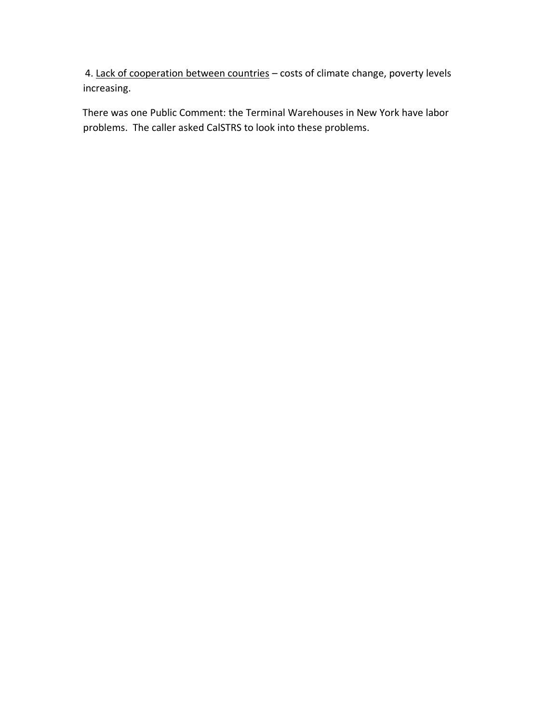4. Lack of cooperation between countries – costs of climate change, poverty levels increasing.

There was one Public Comment: the Terminal Warehouses in New York have labor problems. The caller asked CalSTRS to look into these problems.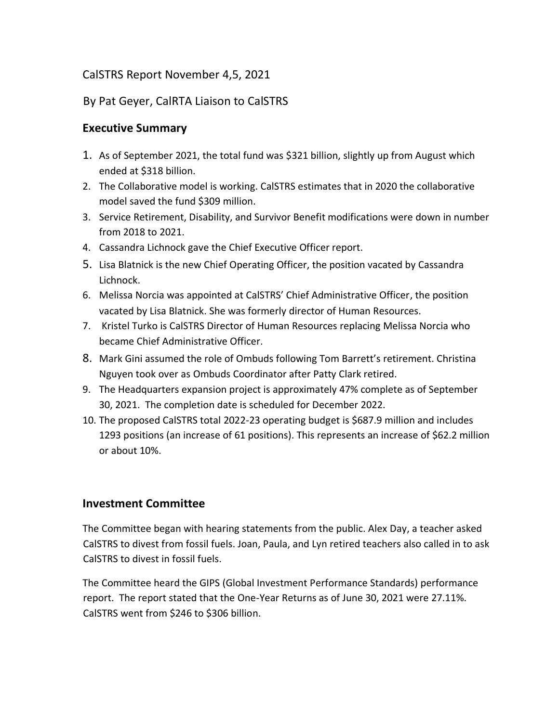## CalSTRS Report November 4,5, 2021

## By Pat Geyer, CalRTA Liaison to CalSTRS

## **Executive Summary**

- 1. As of September 2021, the total fund was \$321 billion, slightly up from August which ended at \$318 billion.
- 2. The Collaborative model is working. CalSTRS estimates that in 2020 the collaborative model saved the fund \$309 million.
- 3. Service Retirement, Disability, and Survivor Benefit modifications were down in number from 2018 to 2021.
- 4. Cassandra Lichnock gave the Chief Executive Officer report.
- 5. Lisa Blatnick is the new Chief Operating Officer, the position vacated by Cassandra Lichnock.
- 6. Melissa Norcia was appointed at CalSTRS' Chief Administrative Officer, the position vacated by Lisa Blatnick. She was formerly director of Human Resources.
- 7. Kristel Turko is CalSTRS Director of Human Resources replacing Melissa Norcia who became Chief Administrative Officer.
- 8. Mark Gini assumed the role of Ombuds following Tom Barrett's retirement. Christina Nguyen took over as Ombuds Coordinator after Patty Clark retired.
- 9. The Headquarters expansion project is approximately 47% complete as of September 30, 2021. The completion date is scheduled for December 2022.
- 10. The proposed CalSTRS total 2022-23 operating budget is \$687.9 million and includes 1293 positions (an increase of 61 positions). This represents an increase of \$62.2 million or about 10%.

## **Investment Committee**

The Committee began with hearing statements from the public. Alex Day, a teacher asked CalSTRS to divest from fossil fuels. Joan, Paula, and Lyn retired teachers also called in to ask CalSTRS to divest in fossil fuels.

The Committee heard the GIPS (Global Investment Performance Standards) performance report. The report stated that the One-Year Returns as of June 30, 2021 were 27.11%. CalSTRS went from \$246 to \$306 billion.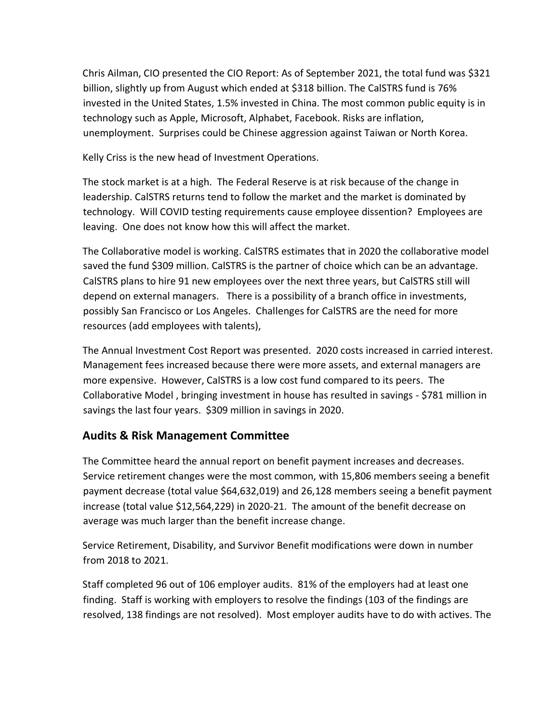Chris Ailman, CIO presented the CIO Report: As of September 2021, the total fund was \$321 billion, slightly up from August which ended at \$318 billion. The CalSTRS fund is 76% invested in the United States, 1.5% invested in China. The most common public equity is in technology such as Apple, Microsoft, Alphabet, Facebook. Risks are inflation, unemployment. Surprises could be Chinese aggression against Taiwan or North Korea.

Kelly Criss is the new head of Investment Operations.

The stock market is at a high. The Federal Reserve is at risk because of the change in leadership. CalSTRS returns tend to follow the market and the market is dominated by technology. Will COVID testing requirements cause employee dissention? Employees are leaving. One does not know how this will affect the market.

The Collaborative model is working. CalSTRS estimates that in 2020 the collaborative model saved the fund \$309 million. CalSTRS is the partner of choice which can be an advantage. CalSTRS plans to hire 91 new employees over the next three years, but CalSTRS still will depend on external managers. There is a possibility of a branch office in investments, possibly San Francisco or Los Angeles. Challenges for CalSTRS are the need for more resources (add employees with talents),

The Annual Investment Cost Report was presented. 2020 costs increased in carried interest. Management fees increased because there were more assets, and external managers are more expensive. However, CalSTRS is a low cost fund compared to its peers. The Collaborative Model , bringing investment in house has resulted in savings - \$781 million in savings the last four years. \$309 million in savings in 2020.

## **Audits & Risk Management Committee**

The Committee heard the annual report on benefit payment increases and decreases. Service retirement changes were the most common, with 15,806 members seeing a benefit payment decrease (total value \$64,632,019) and 26,128 members seeing a benefit payment increase (total value \$12,564,229) in 2020-21. The amount of the benefit decrease on average was much larger than the benefit increase change.

Service Retirement, Disability, and Survivor Benefit modifications were down in number from 2018 to 2021.

Staff completed 96 out of 106 employer audits. 81% of the employers had at least one finding. Staff is working with employers to resolve the findings (103 of the findings are resolved, 138 findings are not resolved). Most employer audits have to do with actives. The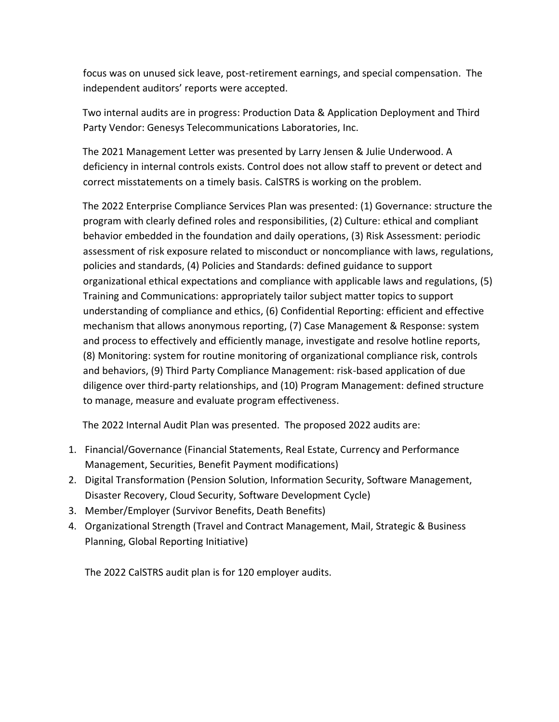focus was on unused sick leave, post-retirement earnings, and special compensation. The independent auditors' reports were accepted.

Two internal audits are in progress: Production Data & Application Deployment and Third Party Vendor: Genesys Telecommunications Laboratories, Inc.

The 2021 Management Letter was presented by Larry Jensen & Julie Underwood. A deficiency in internal controls exists. Control does not allow staff to prevent or detect and correct misstatements on a timely basis. CalSTRS is working on the problem.

The 2022 Enterprise Compliance Services Plan was presented: (1) Governance: structure the program with clearly defined roles and responsibilities, (2) Culture: ethical and compliant behavior embedded in the foundation and daily operations, (3) Risk Assessment: periodic assessment of risk exposure related to misconduct or noncompliance with laws, regulations, policies and standards, (4) Policies and Standards: defined guidance to support organizational ethical expectations and compliance with applicable laws and regulations, (5) Training and Communications: appropriately tailor subject matter topics to support understanding of compliance and ethics, (6) Confidential Reporting: efficient and effective mechanism that allows anonymous reporting, (7) Case Management & Response: system and process to effectively and efficiently manage, investigate and resolve hotline reports, (8) Monitoring: system for routine monitoring of organizational compliance risk, controls and behaviors, (9) Third Party Compliance Management: risk-based application of due diligence over third-party relationships, and (10) Program Management: defined structure to manage, measure and evaluate program effectiveness.

The 2022 Internal Audit Plan was presented. The proposed 2022 audits are:

- 1. Financial/Governance (Financial Statements, Real Estate, Currency and Performance Management, Securities, Benefit Payment modifications)
- 2. Digital Transformation (Pension Solution, Information Security, Software Management, Disaster Recovery, Cloud Security, Software Development Cycle)
- 3. Member/Employer (Survivor Benefits, Death Benefits)
- 4. Organizational Strength (Travel and Contract Management, Mail, Strategic & Business Planning, Global Reporting Initiative)

The 2022 CalSTRS audit plan is for 120 employer audits.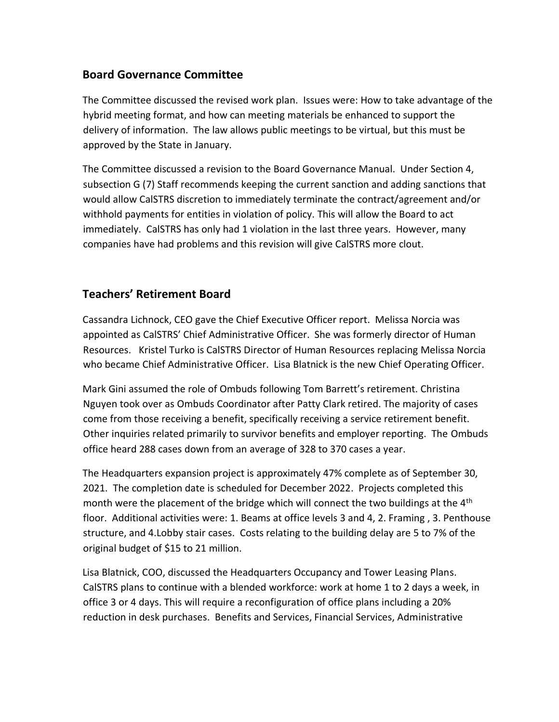### **Board Governance Committee**

The Committee discussed the revised work plan. Issues were: How to take advantage of the hybrid meeting format, and how can meeting materials be enhanced to support the delivery of information. The law allows public meetings to be virtual, but this must be approved by the State in January.

The Committee discussed a revision to the Board Governance Manual. Under Section 4, subsection G (7) Staff recommends keeping the current sanction and adding sanctions that would allow CalSTRS discretion to immediately terminate the contract/agreement and/or withhold payments for entities in violation of policy. This will allow the Board to act immediately. CalSTRS has only had 1 violation in the last three years. However, many companies have had problems and this revision will give CalSTRS more clout.

## **Teachers' Retirement Board**

Cassandra Lichnock, CEO gave the Chief Executive Officer report. Melissa Norcia was appointed as CalSTRS' Chief Administrative Officer. She was formerly director of Human Resources. Kristel Turko is CalSTRS Director of Human Resources replacing Melissa Norcia who became Chief Administrative Officer. Lisa Blatnick is the new Chief Operating Officer.

Mark Gini assumed the role of Ombuds following Tom Barrett's retirement. Christina Nguyen took over as Ombuds Coordinator after Patty Clark retired. The majority of cases come from those receiving a benefit, specifically receiving a service retirement benefit. Other inquiries related primarily to survivor benefits and employer reporting. The Ombuds office heard 288 cases down from an average of 328 to 370 cases a year.

The Headquarters expansion project is approximately 47% complete as of September 30, 2021. The completion date is scheduled for December 2022. Projects completed this month were the placement of the bridge which will connect the two buildings at the 4<sup>th</sup> floor. Additional activities were: 1. Beams at office levels 3 and 4, 2. Framing , 3. Penthouse structure, and 4.Lobby stair cases. Costs relating to the building delay are 5 to 7% of the original budget of \$15 to 21 million.

Lisa Blatnick, COO, discussed the Headquarters Occupancy and Tower Leasing Plans. CalSTRS plans to continue with a blended workforce: work at home 1 to 2 days a week, in office 3 or 4 days. This will require a reconfiguration of office plans including a 20% reduction in desk purchases. Benefits and Services, Financial Services, Administrative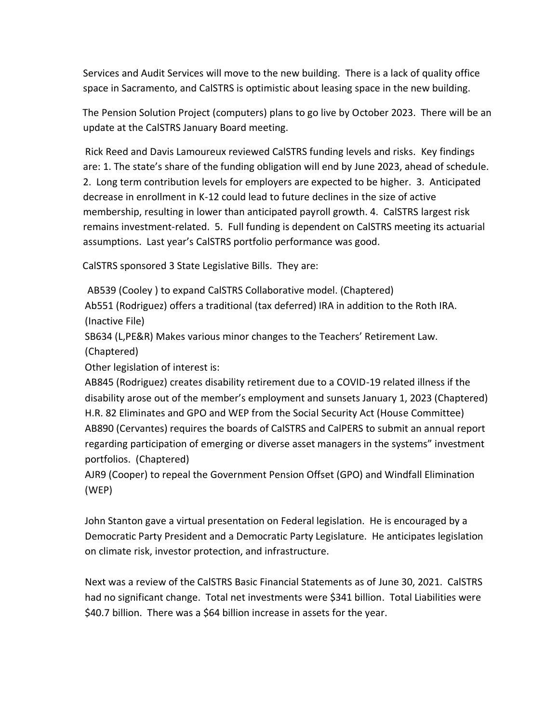Services and Audit Services will move to the new building. There is a lack of quality office space in Sacramento, and CalSTRS is optimistic about leasing space in the new building.

The Pension Solution Project (computers) plans to go live by October 2023. There will be an update at the CalSTRS January Board meeting.

Rick Reed and Davis Lamoureux reviewed CalSTRS funding levels and risks. Key findings are: 1. The state's share of the funding obligation will end by June 2023, ahead of schedule. 2. Long term contribution levels for employers are expected to be higher. 3. Anticipated decrease in enrollment in K-12 could lead to future declines in the size of active membership, resulting in lower than anticipated payroll growth. 4. CalSTRS largest risk remains investment-related. 5. Full funding is dependent on CalSTRS meeting its actuarial assumptions. Last year's CalSTRS portfolio performance was good.

CalSTRS sponsored 3 State Legislative Bills. They are:

AB539 (Cooley ) to expand CalSTRS Collaborative model. (Chaptered)

Ab551 (Rodriguez) offers a traditional (tax deferred) IRA in addition to the Roth IRA. (Inactive File)

SB634 (L,PE&R) Makes various minor changes to the Teachers' Retirement Law. (Chaptered)

Other legislation of interest is:

AB845 (Rodriguez) creates disability retirement due to a COVID-19 related illness if the disability arose out of the member's employment and sunsets January 1, 2023 (Chaptered) H.R. 82 Eliminates and GPO and WEP from the Social Security Act (House Committee) AB890 (Cervantes) requires the boards of CalSTRS and CalPERS to submit an annual report regarding participation of emerging or diverse asset managers in the systems" investment portfolios. (Chaptered)

AJR9 (Cooper) to repeal the Government Pension Offset (GPO) and Windfall Elimination (WEP)

John Stanton gave a virtual presentation on Federal legislation. He is encouraged by a Democratic Party President and a Democratic Party Legislature. He anticipates legislation on climate risk, investor protection, and infrastructure.

Next was a review of the CalSTRS Basic Financial Statements as of June 30, 2021. CalSTRS had no significant change. Total net investments were \$341 billion. Total Liabilities were \$40.7 billion. There was a \$64 billion increase in assets for the year.